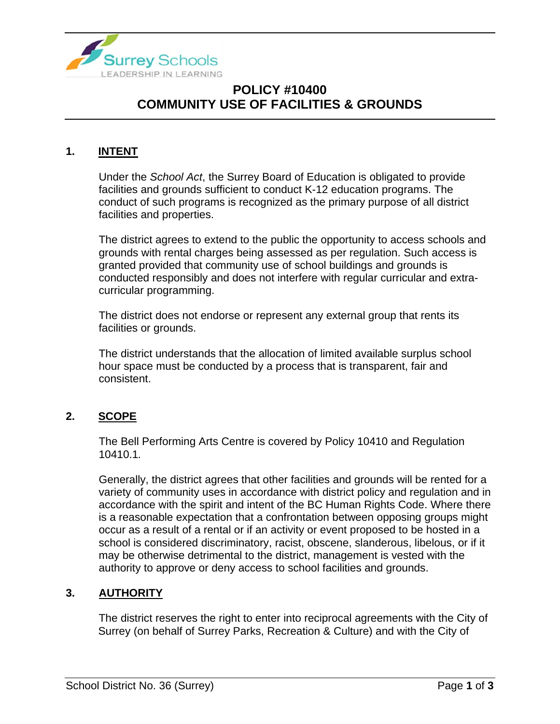

# **POLICY #10400 COMMUNITY USE OF FACILITIES & GROUNDS**

### **1. INTENT**

Under the *School Act*, the Surrey Board of Education is obligated to provide facilities and grounds sufficient to conduct K-12 education programs. The conduct of such programs is recognized as the primary purpose of all district facilities and properties.

The district agrees to extend to the public the opportunity to access schools and grounds with rental charges being assessed as per regulation. Such access is granted provided that community use of school buildings and grounds is conducted responsibly and does not interfere with regular curricular and extracurricular programming.

The district does not endorse or represent any external group that rents its facilities or grounds.

The district understands that the allocation of limited available surplus school hour space must be conducted by a process that is transparent, fair and consistent.

### **2. SCOPE**

The Bell Performing Arts Centre is covered by Policy 10410 and Regulation 10410.1*.*

Generally, the district agrees that other facilities and grounds will be rented for a variety of community uses in accordance with district policy and regulation and in accordance with the spirit and intent of the BC Human Rights Code. Where there is a reasonable expectation that a confrontation between opposing groups might occur as a result of a rental or if an activity or event proposed to be hosted in a school is considered discriminatory, racist, obscene, slanderous, libelous, or if it may be otherwise detrimental to the district, management is vested with the authority to approve or deny access to school facilities and grounds.

### **3. AUTHORITY**

The district reserves the right to enter into reciprocal agreements with the City of Surrey (on behalf of Surrey Parks, Recreation & Culture) and with the City of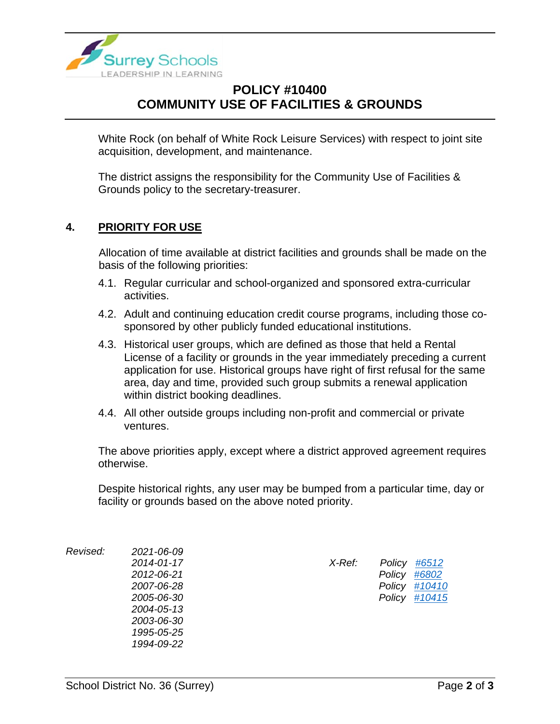

# **POLICY #10400 COMMUNITY USE OF FACILITIES & GROUNDS**

White Rock (on behalf of White Rock Leisure Services) with respect to joint site acquisition, development, and maintenance.

The district assigns the responsibility for the Community Use of Facilities & Grounds policy to the secretary-treasurer.

#### **4. PRIORITY FOR USE**

Allocation of time available at district facilities and grounds shall be made on the basis of the following priorities:

- 4.1. Regular curricular and school-organized and sponsored extra-curricular activities.
- 4.2. Adult and continuing education credit course programs, including those cosponsored by other publicly funded educational institutions.
- 4.3. Historical user groups, which are defined as those that held a Rental License of a facility or grounds in the year immediately preceding a current application for use. Historical groups have right of first refusal for the same area, day and time, provided such group submits a renewal application within district booking deadlines.
- 4.4. All other outside groups including non-profit and commercial or private ventures.

The above priorities apply, except where a district approved agreement requires otherwise.

Despite historical rights, any user may be bumped from a particular time, day or facility or grounds based on the above noted priority.

*Revised: 2021-06-09 2014-01-17 X-Ref: Policy [#6512](https://www.surreyschools.ca/departments/SECT/PoliciesRegulations/section_6000/Documents/6512%20Policy.pdf) 2012-06-21 Policy [#6802](https://www.surreyschools.ca/departments/SECT/PoliciesRegulations/section_6000/Documents/6802%20Policy.pdf) 2007-06-28 Policy [#10410](https://www.surreyschools.ca/departments/SECT/PoliciesRegulations/section_10000/Documents/10410%20Policy.pdf) 2005-06-30 Policy [#10415](https://www.surreyschools.ca/departments/SECT/PoliciesRegulations/section_10000/Documents/10415%20Policy.pdf) 2004-05-13 2003-06-30 1995-05-25 1994-09-22*

| ′-Ref: |              | Policy #6512  |
|--------|--------------|---------------|
|        | Policy #6802 |               |
|        |              | Policy #10410 |
|        |              | Policy #10415 |
|        |              |               |